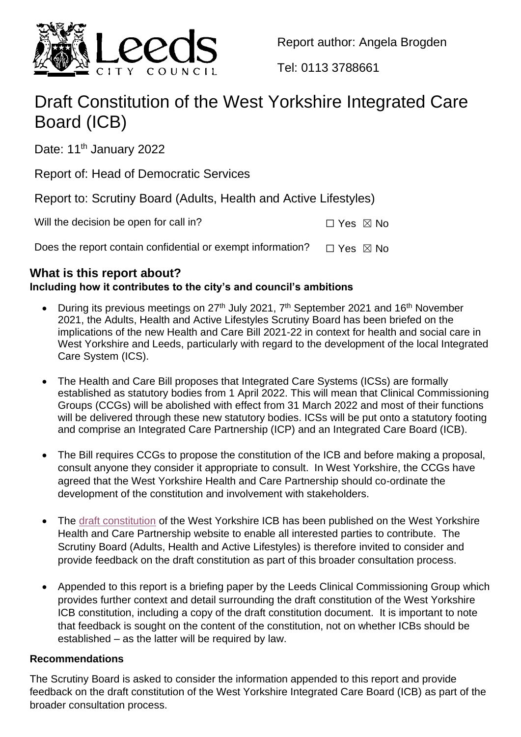

Report author: Angela Brogden

Tel: 0113 3788661

# Draft Constitution of the West Yorkshire Integrated Care Board (ICB)

Date: 11<sup>th</sup> January 2022

Report of: Head of Democratic Services

Report to: Scrutiny Board (Adults, Health and Active Lifestyles)

Will the decision be open for call in?  $\square$  Yes  $\square$  No

Does the report contain confidential or exempt information?  $\Box$  Yes  $\boxtimes$  No

## **What is this report about?**

## **Including how it contributes to the city's and council's ambitions**

- During its previous meetings on  $27<sup>th</sup>$  July 2021,  $7<sup>th</sup>$  September 2021 and 16<sup>th</sup> November 2021, the Adults, Health and Active Lifestyles Scrutiny Board has been briefed on the implications of the new Health and Care Bill 2021-22 in context for health and social care in West Yorkshire and Leeds, particularly with regard to the development of the local Integrated Care System (ICS).
- The Health and Care Bill proposes that Integrated Care Systems (ICSs) are formally established as statutory bodies from 1 April 2022. This will mean that Clinical Commissioning Groups (CCGs) will be abolished with effect from 31 March 2022 and most of their functions will be delivered through these new statutory bodies. ICSs will be put onto a statutory footing and comprise an Integrated Care Partnership (ICP) and an Integrated Care Board (ICB).
- The Bill requires CCGs to propose the constitution of the ICB and before making a proposal, consult anyone they consider it appropriate to consult. In West Yorkshire, the CCGs have agreed that the West Yorkshire Health and Care Partnership should co-ordinate the development of the constitution and involvement with stakeholders.
- The [draft constitution](https://www.wypartnership.co.uk/engagement-and-consultation/integrated-care-systems-legislation/integrated-care-board-constitution) of the West Yorkshire ICB has been published on the West Yorkshire Health and Care Partnership website to enable all interested parties to contribute. The Scrutiny Board (Adults, Health and Active Lifestyles) is therefore invited to consider and provide feedback on the draft constitution as part of this broader consultation process.
- Appended to this report is a briefing paper by the Leeds Clinical Commissioning Group which provides further context and detail surrounding the draft constitution of the West Yorkshire ICB constitution, including a copy of the draft constitution document. It is important to note that feedback is sought on the content of the constitution, not on whether ICBs should be established – as the latter will be required by law.

## **Recommendations**

The Scrutiny Board is asked to consider the information appended to this report and provide feedback on the draft constitution of the West Yorkshire Integrated Care Board (ICB) as part of the broader consultation process.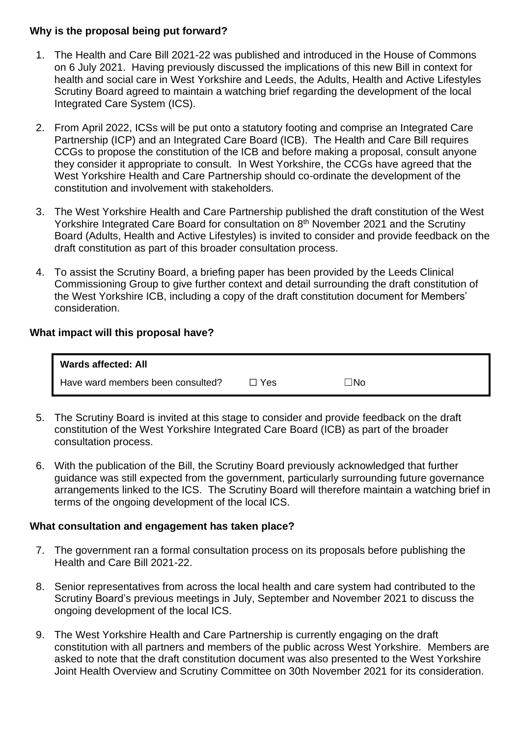#### **Why is the proposal being put forward?**

- 1. The Health and Care Bill 2021-22 was published and introduced in the House of Commons on 6 July 2021. Having previously discussed the implications of this new Bill in context for health and social care in West Yorkshire and Leeds, the Adults, Health and Active Lifestyles Scrutiny Board agreed to maintain a watching brief regarding the development of the local Integrated Care System (ICS).
- 2. From April 2022, ICSs will be put onto a statutory footing and comprise an Integrated Care Partnership (ICP) and an Integrated Care Board (ICB). The Health and Care Bill requires CCGs to propose the constitution of the ICB and before making a proposal, consult anyone they consider it appropriate to consult. In West Yorkshire, the CCGs have agreed that the West Yorkshire Health and Care Partnership should co-ordinate the development of the constitution and involvement with stakeholders.
- 3. The West Yorkshire Health and Care Partnership published the draft constitution of the West Yorkshire Integrated Care Board for consultation on 8<sup>th</sup> November 2021 and the Scrutiny Board (Adults, Health and Active Lifestyles) is invited to consider and provide feedback on the draft constitution as part of this broader consultation process.
- 4. To assist the Scrutiny Board, a briefing paper has been provided by the Leeds Clinical Commissioning Group to give further context and detail surrounding the draft constitution of the West Yorkshire ICB, including a copy of the draft constitution document for Members' consideration.

#### **What impact will this proposal have?**

| <b>Wards affected: All</b>        |     |       |
|-----------------------------------|-----|-------|
| Have ward members been consulted? | Yes | ∃No i |

- 5. The Scrutiny Board is invited at this stage to consider and provide feedback on the draft constitution of the West Yorkshire Integrated Care Board (ICB) as part of the broader consultation process.
- 6. With the publication of the Bill, the Scrutiny Board previously acknowledged that further guidance was still expected from the government, particularly surrounding future governance arrangements linked to the ICS. The Scrutiny Board will therefore maintain a watching brief in terms of the ongoing development of the local ICS.

#### **What consultation and engagement has taken place?**

- 7. The government ran a formal consultation process on its proposals before publishing the Health and Care Bill 2021-22.
- 8. Senior representatives from across the local health and care system had contributed to the Scrutiny Board's previous meetings in July, September and November 2021 to discuss the ongoing development of the local ICS.
- 9. The West Yorkshire Health and Care Partnership is currently engaging on the draft constitution with all partners and members of the public across West Yorkshire. Members are asked to note that the draft constitution document was also presented to the West Yorkshire Joint Health Overview and Scrutiny Committee on 30th November 2021 for its consideration.